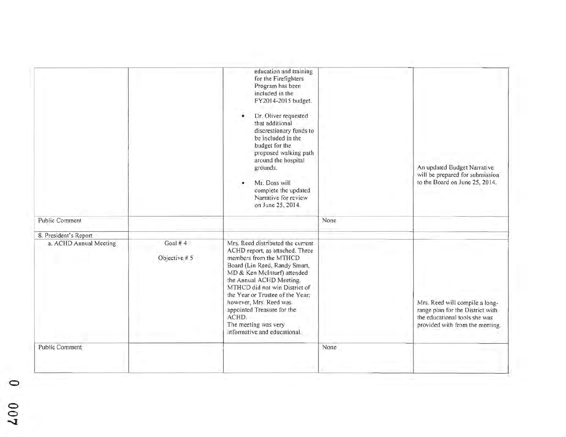|                                                 |               | education and training<br>for the Firefighters<br>Program has been<br>included in the<br>FY2014-2015 budget.<br>Dr. Oliver requested<br>that additional<br>discrestionary funds to<br>be included in the<br>budget for the<br>proposed walking path<br>around the hospital<br>grounds.<br>Mr. Doss will<br>complete the updated<br>Narrative for review<br>on June 25, 2014. |      | An updated Budget Narrative<br>will be prepared for submission<br>to the Board on June 25, 2014.                                       |
|-------------------------------------------------|---------------|------------------------------------------------------------------------------------------------------------------------------------------------------------------------------------------------------------------------------------------------------------------------------------------------------------------------------------------------------------------------------|------|----------------------------------------------------------------------------------------------------------------------------------------|
| Public Comment                                  |               |                                                                                                                                                                                                                                                                                                                                                                              | None |                                                                                                                                        |
|                                                 |               |                                                                                                                                                                                                                                                                                                                                                                              |      |                                                                                                                                        |
| 8. President's Report<br>a. ACHD Annual Meeting | Goal # $4$    | Mrs. Reed distributed the current                                                                                                                                                                                                                                                                                                                                            |      |                                                                                                                                        |
|                                                 | Objective # 5 | ACHD report, as attached. Three<br>members from the MTHCD<br>Board (Lin Reed, Randy Smart,<br>MD & Ken McInturf) attended<br>the Annual ACHD Meeting.<br>MTHCD did not win District of<br>the Year or Trustee of the Year:<br>however, Mrs. Reed was<br>appointed Treasure for the<br>ACHD.<br>The meeting was very<br>informative and educational.                          |      | Mrs. Reed will compile a long-<br>range plan for the District with<br>the educational tools she was<br>provided with from the meeting. |
| Public Comment                                  |               |                                                                                                                                                                                                                                                                                                                                                                              | None |                                                                                                                                        |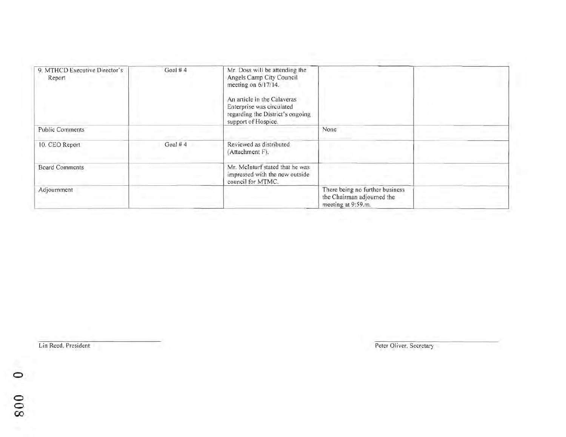| 9. MTHCD Executive Director's<br>Report | Goal $#4$  | Mr. Doss will be attending the<br>Angels Camp City Council<br>meeting on 6/17/14.<br>An article in the Calaveras<br>Enterprise was circulated<br>regarding the District's ongoing<br>support of Hospice. |                                                                                     |  |
|-----------------------------------------|------------|----------------------------------------------------------------------------------------------------------------------------------------------------------------------------------------------------------|-------------------------------------------------------------------------------------|--|
| <b>Public Comments</b>                  |            |                                                                                                                                                                                                          | None                                                                                |  |
| 10. CEO Report                          | Goal # $4$ | Reviewed as distributed<br>(Attachment F).                                                                                                                                                               |                                                                                     |  |
| <b>Board Comments</b>                   |            | Mr. McInturf stated that he was<br>impressed with the new outside<br>council for MTMC.                                                                                                                   |                                                                                     |  |
| Adjournment                             |            |                                                                                                                                                                                                          | There being no further business<br>the Chairman adjourned the<br>meeting at 9:59.m. |  |

Lin Reed, President Peter Oliver, Secretary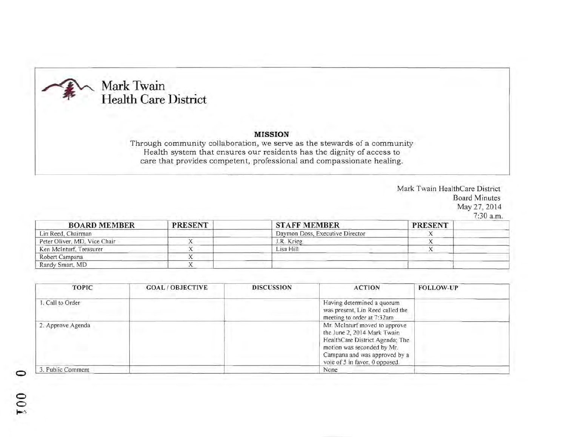

## **MISSION**

Through community collaboration, we serve as the stewards of a community Health system that ensures our residents has the dignity of access to care that provides competent, professional and compassionate healing.

> Mark Twain HealthCare District Board Minutes May 27, 2014 7:30 a.m

| <b>BOARD MEMBER</b>          | <b>PRESENT</b> | <b>STAFF MEMBER</b>                             | <b>PRESENT</b> |  |
|------------------------------|----------------|-------------------------------------------------|----------------|--|
| Lin Reed, Chairman           |                | Daymon Doss, Executive Director                 |                |  |
| Peter Oliver, MD, Vice Chair |                | J.R. Krieg                                      |                |  |
| Ken McInturf, Treasurer      |                | Lisa Hill                                       |                |  |
| Robert Campana               |                |                                                 |                |  |
| Randy Smart, MD              |                | <b>Service Controller Controller Controller</b> |                |  |

| <b>TOPIC</b>      | <b>GOAL/OBJECTIVE</b> | <b>DISCUSSION</b> | <b>ACTION</b>                                                                                                                                                                                    | <b>FOLLOW-UP</b> |
|-------------------|-----------------------|-------------------|--------------------------------------------------------------------------------------------------------------------------------------------------------------------------------------------------|------------------|
| 1. Call to Order  |                       |                   | Having determined a quorum<br>was present. Lin Reed called the<br>meeting to order at 7:32am                                                                                                     |                  |
| 2. Approve Agenda |                       |                   | Mr. McInturf moved to approve<br>the June 2, 2014 Mark Twain<br>HealthCare District Agenda; The<br>motion was seconded by Mr.<br>Campana and was approved by a<br>vote of 5 in favor, 0 opposed. |                  |
| 3. Public Comment |                       |                   | None                                                                                                                                                                                             |                  |

 $\circ$ o

 $\tilde{c}$  $\ddot{}$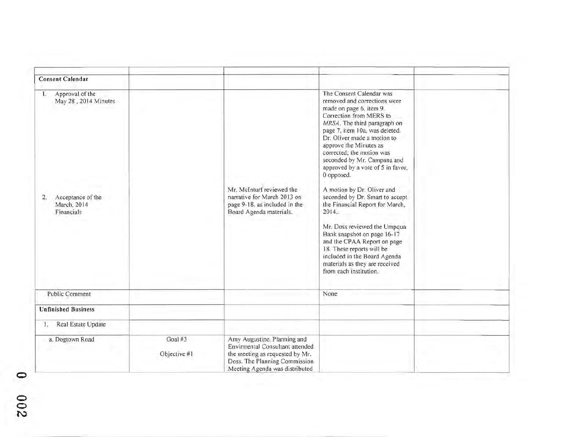| <b>Consent Calendar</b>                                                                               |                         |                                                                                                                                                                      |                                                                                                                                                                                                                                                                                                                                                                                                                                                                                                                                                                                                                                                                                              |  |
|-------------------------------------------------------------------------------------------------------|-------------------------|----------------------------------------------------------------------------------------------------------------------------------------------------------------------|----------------------------------------------------------------------------------------------------------------------------------------------------------------------------------------------------------------------------------------------------------------------------------------------------------------------------------------------------------------------------------------------------------------------------------------------------------------------------------------------------------------------------------------------------------------------------------------------------------------------------------------------------------------------------------------------|--|
| Approval of the<br>1.<br>May 28, 2014 Minutes<br>Acceptance of the<br>2.<br>March, 2014<br>Financials |                         | Mr. McInturf reviewed the<br>narrative for March 2013 on<br>page 9-18, as included in the<br>Board Agenda materials.                                                 | The Consent Calendar was<br>removed and corrections were<br>made on page 6, item 9.<br>Correction from MERS to<br>MRSA. The third paragraph on<br>page 7, item 10a, was deleted.<br>Dr. Oliver made a motion to<br>approve the Minutes as<br>corrected; the motion was<br>seconded by Mr. Campana and<br>approved by a vote of 5 in favor,<br>0 opposed.<br>A motion by Dr. Oliver and<br>seconded by Dr. Smart to accept<br>the Financial Report for March.<br>2014.<br>Mr. Doss reviewed the Umpqua<br>Bank snapshot on page 16-17<br>and the CPAA Report on page<br>18. These reports will be<br>included in the Board Agenda<br>materials as they are received<br>from each institution. |  |
| <b>Public Comment</b>                                                                                 |                         |                                                                                                                                                                      | None                                                                                                                                                                                                                                                                                                                                                                                                                                                                                                                                                                                                                                                                                         |  |
| <b>Unfinished Business</b>                                                                            |                         |                                                                                                                                                                      |                                                                                                                                                                                                                                                                                                                                                                                                                                                                                                                                                                                                                                                                                              |  |
| Real Estate Update<br>L.                                                                              |                         |                                                                                                                                                                      |                                                                                                                                                                                                                                                                                                                                                                                                                                                                                                                                                                                                                                                                                              |  |
| a. Dogtown Road                                                                                       | Goal #3<br>Objective #1 | Amy Augustine, Planning and<br>Envirmental Consultant attended<br>the meeting as requested by Mr.<br>Doss. The Planning Commission<br>Meeting Agenda was distributed |                                                                                                                                                                                                                                                                                                                                                                                                                                                                                                                                                                                                                                                                                              |  |

o  $\frac{6}{5}$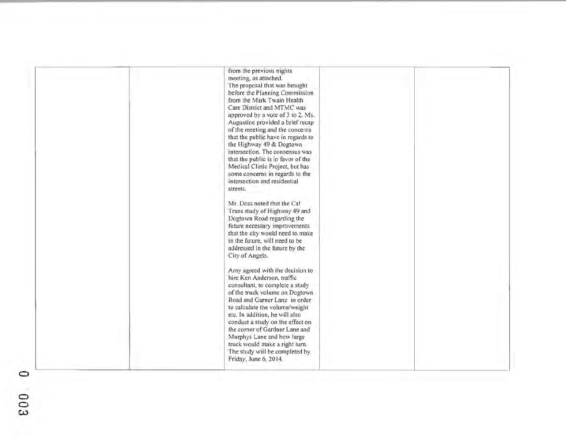| from the previous nights<br>meeting, as attached.<br>The proposal that was brought<br>before the Planning Commission<br>from the Mark Twain Health<br>Care District and MTMC was<br>approved by a vote of 3 to 2. Ms.<br>Augustine provided a brief recap<br>of the meeting and the concerns<br>that the public have in regards to<br>the Highway 49 & Dogtown<br>intersection. The consensus was<br>that the public is in favor of the<br>Medical Clinic Project, but has<br>some concerns in regards to the<br>intersection and residential |  |
|-----------------------------------------------------------------------------------------------------------------------------------------------------------------------------------------------------------------------------------------------------------------------------------------------------------------------------------------------------------------------------------------------------------------------------------------------------------------------------------------------------------------------------------------------|--|
| streets.<br>Mr. Doss noted that the Cal<br>Trans study of Highway 49 and<br>Dogtown Road regarding the<br>future necessary improvements<br>that the city would need to make<br>in the future, will need to be<br>addressed in the future by the<br>City of Angels.                                                                                                                                                                                                                                                                            |  |
| Amy agreed with the decision to<br>hire Ken Anderson, traffic<br>consultant, to complete a study<br>of the truck volume on Dogtown<br>Road and Garner Lane in order<br>to calculate the volume/weight<br>etc. In addition, he will also<br>conduct a study on the effect on<br>the corner of Gardner Lane and<br>Murphys Lane and how large<br>truck would make a right turn.<br>The study will be completed by<br>Friday, June 6, 2014.                                                                                                      |  |

o

 $\Xi$  $\tilde{\bm{\omega}}$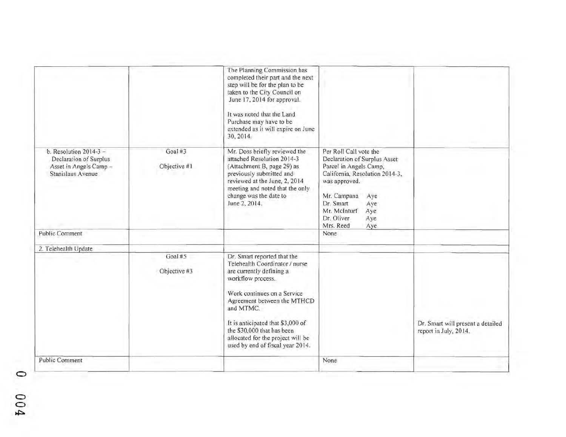|                                                                                                   |                         | The Planning Commission has<br>completed their part and the next<br>step will be for the plan to be<br>taken to the City Council on<br>June 17, 2014 for approval.<br>It was noted that the Land<br>Purchase may have to be<br>extended as it will expire on June<br>30, 2014.                                                        |                                                                                                                                                                                                                                               |                                                            |
|---------------------------------------------------------------------------------------------------|-------------------------|---------------------------------------------------------------------------------------------------------------------------------------------------------------------------------------------------------------------------------------------------------------------------------------------------------------------------------------|-----------------------------------------------------------------------------------------------------------------------------------------------------------------------------------------------------------------------------------------------|------------------------------------------------------------|
| b. Resolution $2014-3$ -<br>Declaration of Surplus<br>Asset in Angels Camp -<br>Stanislaus Avenue | Goal #3<br>Objective #1 | Mr. Doss briefly reviewed the<br>attached Resolution 2014-3<br>(Attachment B, page 29) as<br>previously submitted and<br>reviewed at the June, 2, 2014<br>meeting and noted that the only<br>change was the date to<br>June 2, 2014.                                                                                                  | Per Roll Call vote the<br>Declaration of Surplus Asset<br>Parcel in Angels Camp,<br>California, Resolution 2014-3,<br>was approved.<br>Mr. Campana<br>Aye<br>Dr. Smart<br>Aye<br>Mr. McInturf<br>Aye<br>Dr. Oliver<br>Aye<br>Mrs. Reed<br>Aye |                                                            |
| <b>Public Comment</b>                                                                             |                         |                                                                                                                                                                                                                                                                                                                                       | None                                                                                                                                                                                                                                          |                                                            |
| 2. Telehealth Update                                                                              |                         |                                                                                                                                                                                                                                                                                                                                       |                                                                                                                                                                                                                                               |                                                            |
|                                                                                                   | Goal #5<br>Objective #3 | Dr. Smart reported that the<br>Telehealth Coordinator / nurse<br>are currently defining a<br>workflow process.<br>Work continues on a Service<br>Agreement between the MTHCD<br>and MTMC.<br>It is anticipated that \$3,000 of<br>the \$30,000 that has been<br>allocated for the project will be<br>used by end of fiscal year 2014. |                                                                                                                                                                                                                                               | Dr. Smart will present a detailed<br>report in July, 2014. |
| <b>Public Comment</b>                                                                             |                         |                                                                                                                                                                                                                                                                                                                                       | None                                                                                                                                                                                                                                          |                                                            |

o o  $\tilde{c}$ ~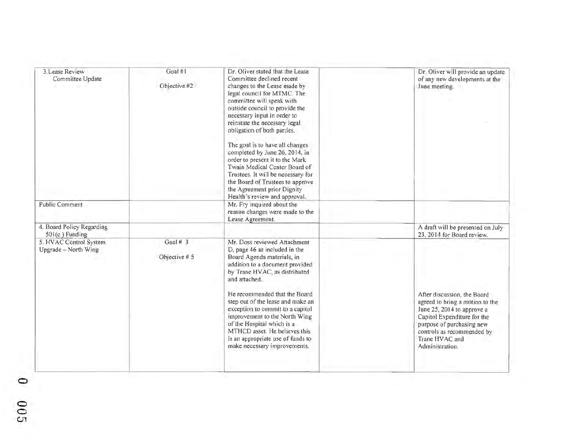| 3. Lease Review<br>Committee Update            | Goal #1<br>Objective #2     | Dr. Oliver stated that the Lease<br>Committee declined recent<br>changes to the Lease made by<br>legal council for MTMC. The<br>committee will speak with<br>outside council to provide the<br>necessary input in order to<br>reinstate the necessary legal<br>obligation of both parties.<br>The goal is to have all changes<br>completed by June 26, 2014. in<br>order to present it to the Mark<br>Twain Medical Center Board of<br>Trustees. It will be necessary for<br>the Board of Trustees to approve<br>the Agreement prior Dignity<br>Health's review and approval. | Dr. Oliver will provide an update<br>of any new developments at the<br>June meeting.                                        |
|------------------------------------------------|-----------------------------|-------------------------------------------------------------------------------------------------------------------------------------------------------------------------------------------------------------------------------------------------------------------------------------------------------------------------------------------------------------------------------------------------------------------------------------------------------------------------------------------------------------------------------------------------------------------------------|-----------------------------------------------------------------------------------------------------------------------------|
| <b>Public Comment</b>                          |                             | Mr. Fry inquired about the<br>reason changes were made to the<br>Lease Agreement.                                                                                                                                                                                                                                                                                                                                                                                                                                                                                             |                                                                                                                             |
| 4. Board Policy Regarding<br>$501(c)$ Funding  |                             |                                                                                                                                                                                                                                                                                                                                                                                                                                                                                                                                                                               | A draft will be presented on July<br>23, 2014 for Board review.                                                             |
| 5. HVAC Control System<br>Upgrade - North Wing | Goal # $3$<br>Objective # 5 | Mr. Doss reviewed Attachment<br>D, page 46 as included in the<br>Board Agenda materials, in<br>addition to a document provided<br>by Trane HVAC, as distributed<br>and attached.<br>He recommended that the Board.<br>step out of the lease and make an<br>exception to commit to a capitol                                                                                                                                                                                                                                                                                   | After discussion, the Board<br>agreed to bring a motion to the<br>June 25, 2014 to approve a                                |
|                                                |                             | improvement to the North Wing<br>of the Hospital which is a<br>MTHCD asset. He believes this<br>is an appropriate use of funds to<br>make necessary improvements.                                                                                                                                                                                                                                                                                                                                                                                                             | Capitol Expenditure for the<br>purpose of purchasing new<br>controls as recommended by<br>Trane HVAC and<br>Administration. |

o

o  $\tilde{c}$ c.n